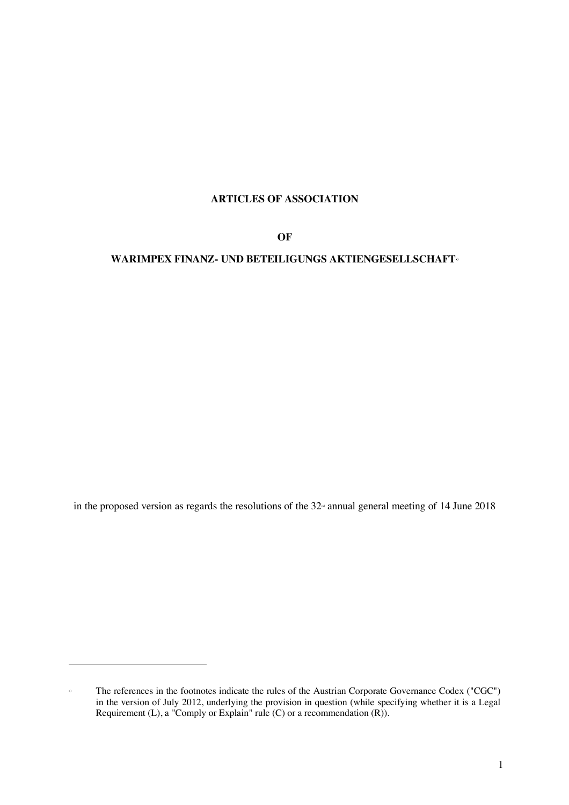# **ARTICLES OF ASSOCIATION**

**OF**

## **WARIMPEX FINANZ- UND BETEILIGUNGS AKTIENGESELLSCHAFTx)**

in the proposed version as regards the resolutions of the  $32<sup>nd</sup>$  annual general meeting of 14 June 2018

l

x) The references in the footnotes indicate the rules of the Austrian Corporate Governance Codex ("CGC") in the version of July 2012, underlying the provision in question (while specifying whether it is a Legal Requirement (L), a "Comply or Explain" rule (C) or a recommendation  $(R)$ ).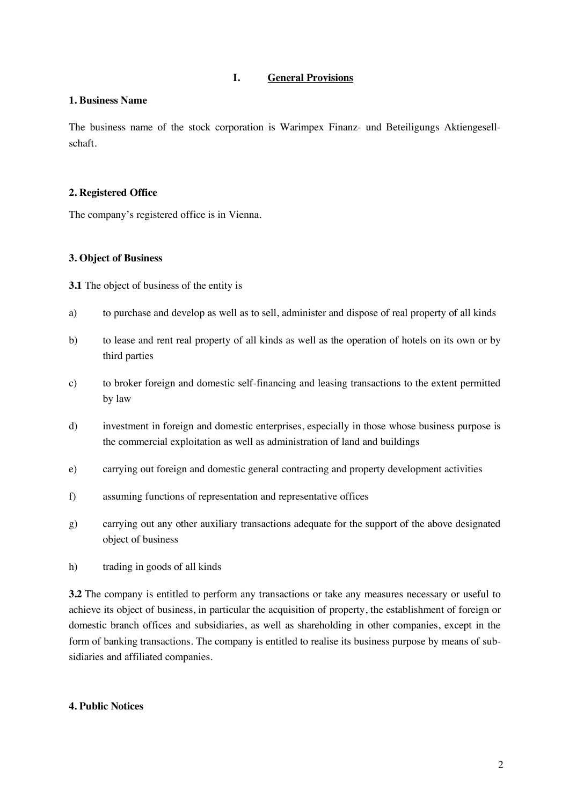### **I. General Provisions**

### **1. Business Name**

The business name of the stock corporation is Warimpex Finanz- und Beteiligungs Aktiengesellschaft.

### **2. Registered Office**

The company's registered office is in Vienna.

### **3. Object of Business**

**3.1** The object of business of the entity is

- a) to purchase and develop as well as to sell, administer and dispose of real property of all kinds
- b) to lease and rent real property of all kinds as well as the operation of hotels on its own or by third parties
- c) to broker foreign and domestic self-financing and leasing transactions to the extent permitted by law
- d) investment in foreign and domestic enterprises, especially in those whose business purpose is the commercial exploitation as well as administration of land and buildings
- e) carrying out foreign and domestic general contracting and property development activities
- f) assuming functions of representation and representative offices
- g) carrying out any other auxiliary transactions adequate for the support of the above designated object of business
- h) trading in goods of all kinds

**3.2** The company is entitled to perform any transactions or take any measures necessary or useful to achieve its object of business, in particular the acquisition of property, the establishment of foreign or domestic branch offices and subsidiaries, as well as shareholding in other companies, except in the form of banking transactions. The company is entitled to realise its business purpose by means of subsidiaries and affiliated companies.

### **4. Public Notices**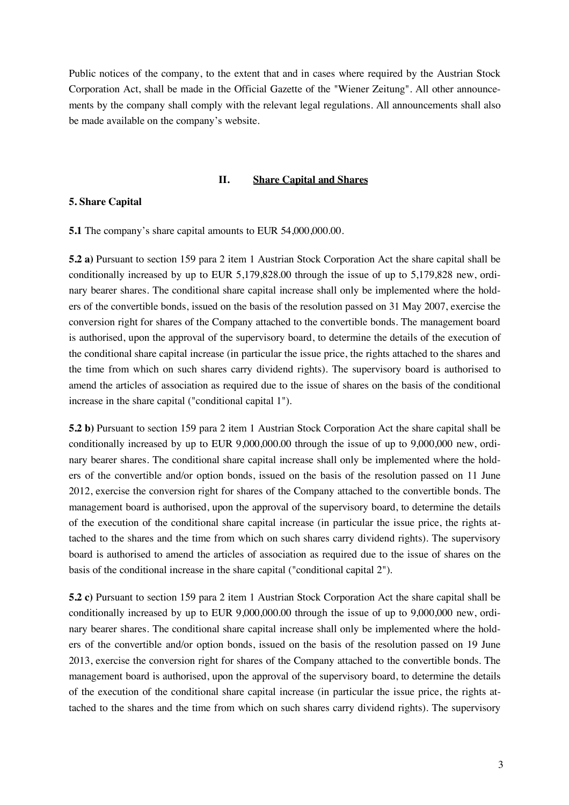Public notices of the company, to the extent that and in cases where required by the Austrian Stock Corporation Act, shall be made in the Official Gazette of the "Wiener Zeitung". All other announcements by the company shall comply with the relevant legal regulations. All announcements shall also be made available on the company's website.

#### **II. Share Capital and Shares**

#### **5. Share Capital**

**5.1** The company's share capital amounts to EUR 54,000,000.00.

**5.2 a)** Pursuant to section 159 para 2 item 1 Austrian Stock Corporation Act the share capital shall be conditionally increased by up to EUR 5,179,828.00 through the issue of up to 5,179,828 new, ordinary bearer shares. The conditional share capital increase shall only be implemented where the holders of the convertible bonds, issued on the basis of the resolution passed on 31 May 2007, exercise the conversion right for shares of the Company attached to the convertible bonds. The management board is authorised, upon the approval of the supervisory board, to determine the details of the execution of the conditional share capital increase (in particular the issue price, the rights attached to the shares and the time from which on such shares carry dividend rights). The supervisory board is authorised to amend the articles of association as required due to the issue of shares on the basis of the conditional increase in the share capital ("conditional capital 1").

**5.2 b)** Pursuant to section 159 para 2 item 1 Austrian Stock Corporation Act the share capital shall be conditionally increased by up to EUR 9,000,000.00 through the issue of up to 9,000,000 new, ordinary bearer shares. The conditional share capital increase shall only be implemented where the holders of the convertible and/or option bonds, issued on the basis of the resolution passed on 11 June 2012, exercise the conversion right for shares of the Company attached to the convertible bonds. The management board is authorised, upon the approval of the supervisory board, to determine the details of the execution of the conditional share capital increase (in particular the issue price, the rights attached to the shares and the time from which on such shares carry dividend rights). The supervisory board is authorised to amend the articles of association as required due to the issue of shares on the basis of the conditional increase in the share capital ("conditional capital 2").

**5.2 c)** Pursuant to section 159 para 2 item 1 Austrian Stock Corporation Act the share capital shall be conditionally increased by up to EUR 9,000,000.00 through the issue of up to 9,000,000 new, ordinary bearer shares. The conditional share capital increase shall only be implemented where the holders of the convertible and/or option bonds, issued on the basis of the resolution passed on 19 June 2013, exercise the conversion right for shares of the Company attached to the convertible bonds. The management board is authorised, upon the approval of the supervisory board, to determine the details of the execution of the conditional share capital increase (in particular the issue price, the rights attached to the shares and the time from which on such shares carry dividend rights). The supervisory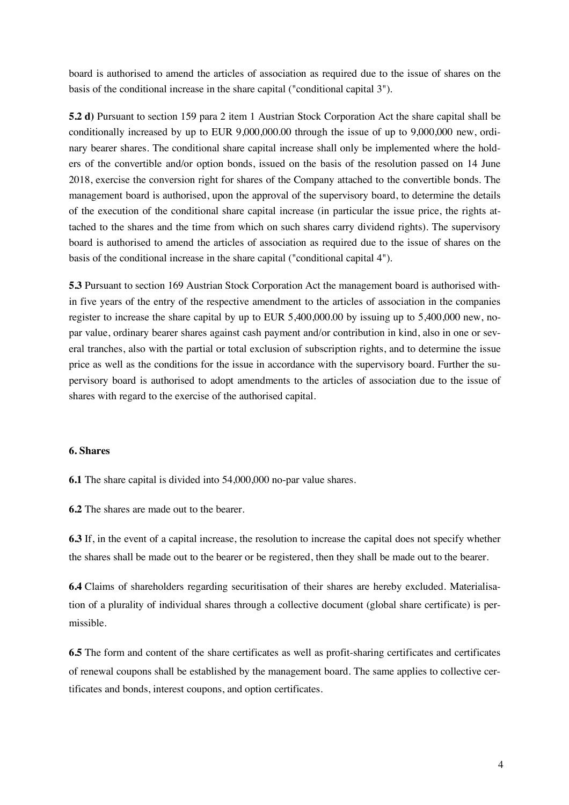board is authorised to amend the articles of association as required due to the issue of shares on the basis of the conditional increase in the share capital ("conditional capital 3").

**5.2 d)** Pursuant to section 159 para 2 item 1 Austrian Stock Corporation Act the share capital shall be conditionally increased by up to EUR 9,000,000.00 through the issue of up to 9,000,000 new, ordinary bearer shares. The conditional share capital increase shall only be implemented where the holders of the convertible and/or option bonds, issued on the basis of the resolution passed on 14 June 2018, exercise the conversion right for shares of the Company attached to the convertible bonds. The management board is authorised, upon the approval of the supervisory board, to determine the details of the execution of the conditional share capital increase (in particular the issue price, the rights attached to the shares and the time from which on such shares carry dividend rights). The supervisory board is authorised to amend the articles of association as required due to the issue of shares on the basis of the conditional increase in the share capital ("conditional capital 4").

**5.3** Pursuant to section 169 Austrian Stock Corporation Act the management board is authorised within five years of the entry of the respective amendment to the articles of association in the companies register to increase the share capital by up to EUR 5,400,000.00 by issuing up to 5,400,000 new, nopar value, ordinary bearer shares against cash payment and/or contribution in kind, also in one or several tranches, also with the partial or total exclusion of subscription rights, and to determine the issue price as well as the conditions for the issue in accordance with the supervisory board. Further the supervisory board is authorised to adopt amendments to the articles of association due to the issue of shares with regard to the exercise of the authorised capital.

### **6. Shares**

**6.1** The share capital is divided into 54,000,000 no-par value shares.

**6.2** The shares are made out to the bearer.

**6.3** If, in the event of a capital increase, the resolution to increase the capital does not specify whether the shares shall be made out to the bearer or be registered, then they shall be made out to the bearer.

**6.4** Claims of shareholders regarding securitisation of their shares are hereby excluded. Materialisation of a plurality of individual shares through a collective document (global share certificate) is permissible.

**6.5** The form and content of the share certificates as well as profit-sharing certificates and certificates of renewal coupons shall be established by the management board. The same applies to collective certificates and bonds, interest coupons, and option certificates.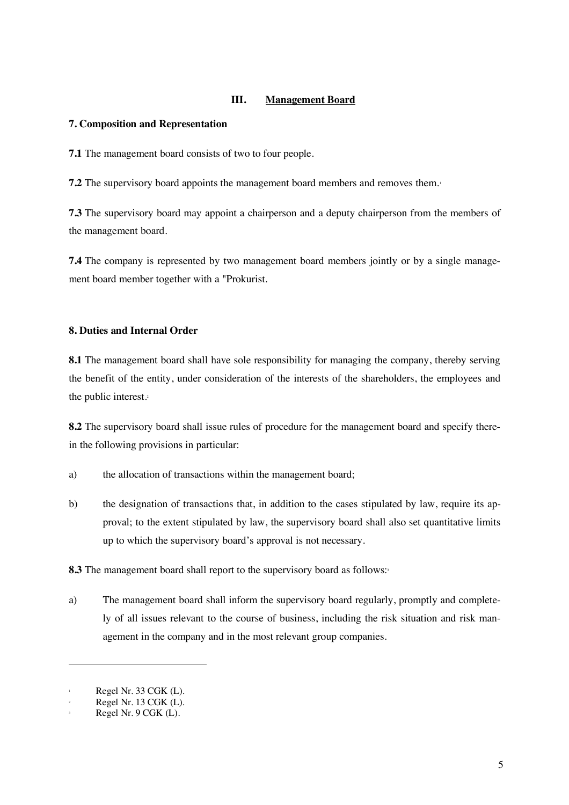### **III. Management Board**

### **7. Composition and Representation**

**7.1** The management board consists of two to four people.

**7.2** The supervisory board appoints the management board members and removes them.<sup>1</sup>

**7.3** The supervisory board may appoint a chairperson and a deputy chairperson from the members of the management board.

**7.4** The company is represented by two management board members jointly or by a single management board member together with a "Prokurist.

### **8. Duties and Internal Order**

**8.1** The management board shall have sole responsibility for managing the company, thereby serving the benefit of the entity, under consideration of the interests of the shareholders, the employees and the public interest.<sup>2</sup>

**8.2** The supervisory board shall issue rules of procedure for the management board and specify therein the following provisions in particular:

- a) the allocation of transactions within the management board;
- b) the designation of transactions that, in addition to the cases stipulated by law, require its approval; to the extent stipulated by law, the supervisory board shall also set quantitative limits up to which the supervisory board's approval is not necessary.

**8.3** The management board shall report to the supervisory board as follows:<sup>3</sup>

a) The management board shall inform the supervisory board regularly, promptly and completely of all issues relevant to the course of business, including the risk situation and risk management in the company and in the most relevant group companies.

l

Regel Nr. 33 CGK (L).

Regel Nr. 13 CGK (L).

Regel Nr. 9 CGK (L).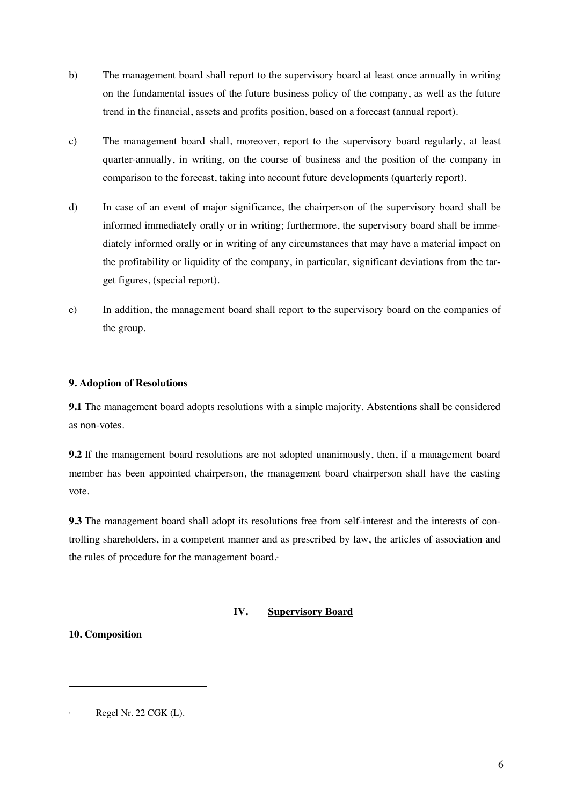- b) The management board shall report to the supervisory board at least once annually in writing on the fundamental issues of the future business policy of the company, as well as the future trend in the financial, assets and profits position, based on a forecast (annual report).
- c) The management board shall, moreover, report to the supervisory board regularly, at least quarter-annually, in writing, on the course of business and the position of the company in comparison to the forecast, taking into account future developments (quarterly report).
- d) In case of an event of major significance, the chairperson of the supervisory board shall be informed immediately orally or in writing; furthermore, the supervisory board shall be immediately informed orally or in writing of any circumstances that may have a material impact on the profitability or liquidity of the company, in particular, significant deviations from the target figures, (special report).
- e) In addition, the management board shall report to the supervisory board on the companies of the group.

### **9. Adoption of Resolutions**

**9.1** The management board adopts resolutions with a simple majority. Abstentions shall be considered as non-votes.

**9.2** If the management board resolutions are not adopted unanimously, then, if a management board member has been appointed chairperson, the management board chairperson shall have the casting vote.

**9.3** The management board shall adopt its resolutions free from self-interest and the interests of controlling shareholders, in a competent manner and as prescribed by law, the articles of association and the rules of procedure for the management board.4

### **IV. Supervisory Board**

**10. Composition**

Regel Nr. 22 CGK (L).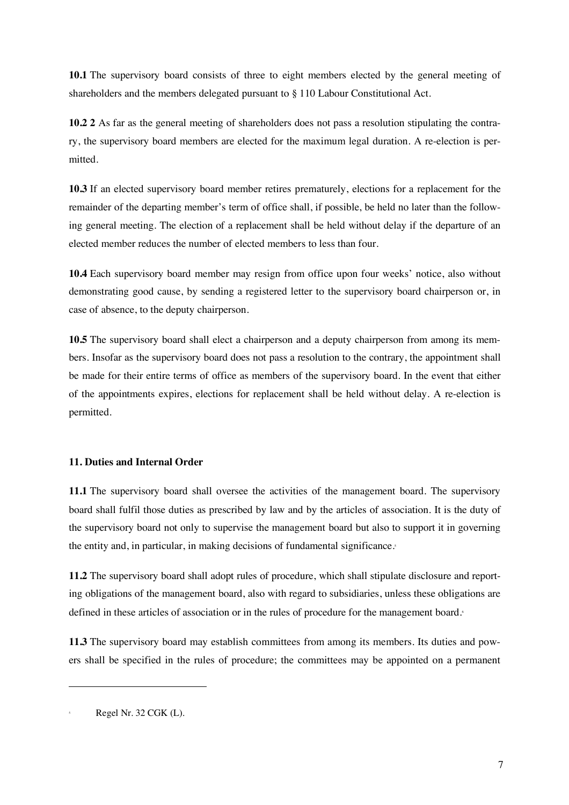**10.1** The supervisory board consists of three to eight members elected by the general meeting of shareholders and the members delegated pursuant to § 110 Labour Constitutional Act.

**10.2 2** As far as the general meeting of shareholders does not pass a resolution stipulating the contrary, the supervisory board members are elected for the maximum legal duration. A re-election is permitted.

**10.3** If an elected supervisory board member retires prematurely, elections for a replacement for the remainder of the departing member's term of office shall, if possible, be held no later than the following general meeting. The election of a replacement shall be held without delay if the departure of an elected member reduces the number of elected members to less than four.

**10.4** Each supervisory board member may resign from office upon four weeks' notice, also without demonstrating good cause, by sending a registered letter to the supervisory board chairperson or, in case of absence, to the deputy chairperson.

10.5 The supervisory board shall elect a chairperson and a deputy chairperson from among its members. Insofar as the supervisory board does not pass a resolution to the contrary, the appointment shall be made for their entire terms of office as members of the supervisory board. In the event that either of the appointments expires, elections for replacement shall be held without delay. A re-election is permitted.

### **11. Duties and Internal Order**

**11.1** The supervisory board shall oversee the activities of the management board. The supervisory board shall fulfil those duties as prescribed by law and by the articles of association. It is the duty of the supervisory board not only to supervise the management board but also to support it in governing the entity and, in particular, in making decisions of fundamental significance.<sup>5</sup>

**11.2** The supervisory board shall adopt rules of procedure, which shall stipulate disclosure and reporting obligations of the management board, also with regard to subsidiaries, unless these obligations are defined in these articles of association or in the rules of procedure for the management board.6

**11.3** The supervisory board may establish committees from among its members. Its duties and powers shall be specified in the rules of procedure; the committees may be appointed on a permanent

Regel Nr. 32 CGK (L).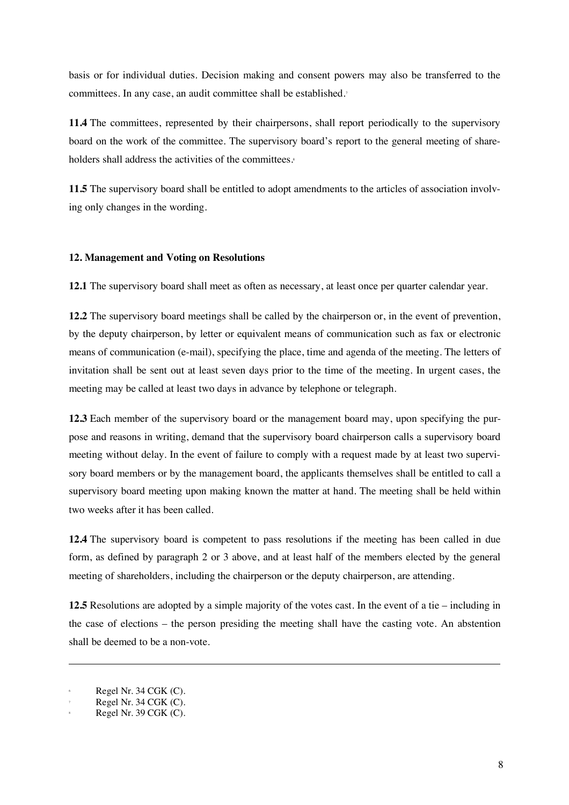basis or for individual duties. Decision making and consent powers may also be transferred to the committees. In any case, an audit committee shall be established.<sup>7</sup>

**11.4** The committees, represented by their chairpersons, shall report periodically to the supervisory board on the work of the committee. The supervisory board's report to the general meeting of shareholders shall address the activities of the committees.<sup>8</sup>

**11.5** The supervisory board shall be entitled to adopt amendments to the articles of association involving only changes in the wording.

#### **12. Management and Voting on Resolutions**

**12.1** The supervisory board shall meet as often as necessary, at least once per quarter calendar year.

**12.2** The supervisory board meetings shall be called by the chairperson or, in the event of prevention, by the deputy chairperson, by letter or equivalent means of communication such as fax or electronic means of communication (e-mail), specifying the place, time and agenda of the meeting. The letters of invitation shall be sent out at least seven days prior to the time of the meeting. In urgent cases, the meeting may be called at least two days in advance by telephone or telegraph.

**12.3** Each member of the supervisory board or the management board may, upon specifying the purpose and reasons in writing, demand that the supervisory board chairperson calls a supervisory board meeting without delay. In the event of failure to comply with a request made by at least two supervisory board members or by the management board, the applicants themselves shall be entitled to call a supervisory board meeting upon making known the matter at hand. The meeting shall be held within two weeks after it has been called.

**12.4** The supervisory board is competent to pass resolutions if the meeting has been called in due form, as defined by paragraph 2 or 3 above, and at least half of the members elected by the general meeting of shareholders, including the chairperson or the deputy chairperson, are attending.

**12.5** Resolutions are adopted by a simple majority of the votes cast. In the event of a tie – including in the case of elections – the person presiding the meeting shall have the casting vote. An abstention shall be deemed to be a non-vote.

l

Regel Nr. 34 CGK (C).

Regel Nr. 34 CGK  $(C)$ .

Regel Nr. 39 CGK (C).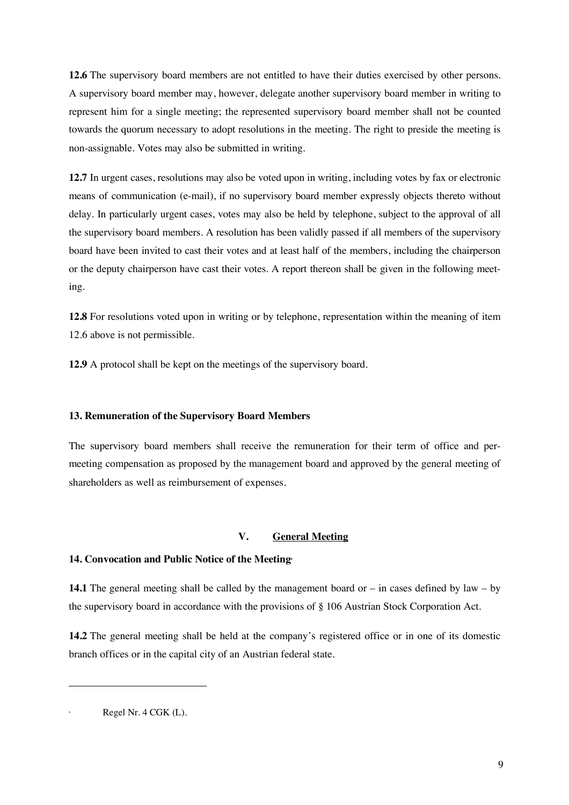**12.6** The supervisory board members are not entitled to have their duties exercised by other persons. A supervisory board member may, however, delegate another supervisory board member in writing to represent him for a single meeting; the represented supervisory board member shall not be counted towards the quorum necessary to adopt resolutions in the meeting. The right to preside the meeting is non-assignable. Votes may also be submitted in writing.

**12.7** In urgent cases, resolutions may also be voted upon in writing, including votes by fax or electronic means of communication (e-mail), if no supervisory board member expressly objects thereto without delay. In particularly urgent cases, votes may also be held by telephone, subject to the approval of all the supervisory board members. A resolution has been validly passed if all members of the supervisory board have been invited to cast their votes and at least half of the members, including the chairperson or the deputy chairperson have cast their votes. A report thereon shall be given in the following meeting.

**12.8** For resolutions voted upon in writing or by telephone, representation within the meaning of item 12.6 above is not permissible.

**12.9** A protocol shall be kept on the meetings of the supervisory board.

#### **13. Remuneration of the Supervisory Board Members**

The supervisory board members shall receive the remuneration for their term of office and permeeting compensation as proposed by the management board and approved by the general meeting of shareholders as well as reimbursement of expenses.

#### **V. General Meeting**

#### 14. Convocation and Public Notice of the Meeting<sup>®</sup>

**14.1** The general meeting shall be called by the management board or – in cases defined by law – by the supervisory board in accordance with the provisions of § 106 Austrian Stock Corporation Act.

**14.2** The general meeting shall be held at the company's registered office or in one of its domestic branch offices or in the capital city of an Austrian federal state.

Regel Nr. 4 CGK (L).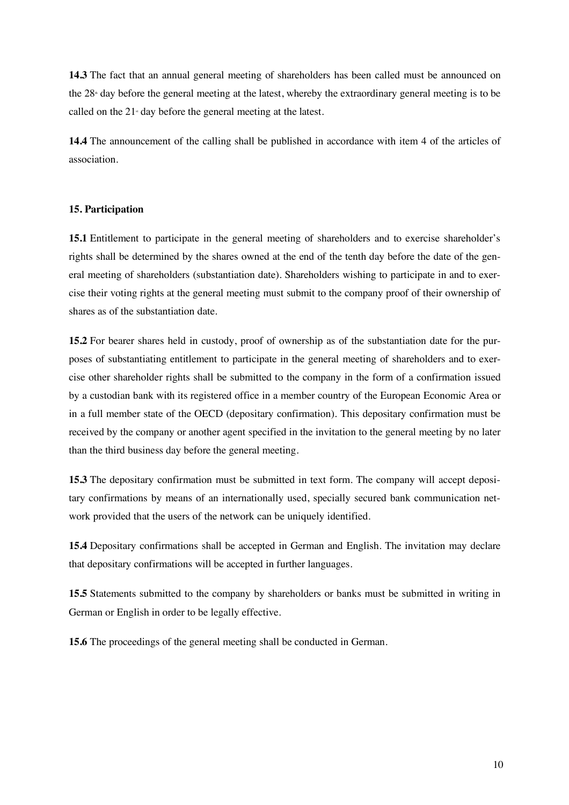**14.3** The fact that an annual general meeting of shareholders has been called must be announced on the  $28<sup>*</sup>$  day before the general meeting at the latest, whereby the extraordinary general meeting is to be called on the  $21$ <sup>s</sup> day before the general meeting at the latest.

**14.4** The announcement of the calling shall be published in accordance with item 4 of the articles of association.

### **15. Participation**

**15.1** Entitlement to participate in the general meeting of shareholders and to exercise shareholder's rights shall be determined by the shares owned at the end of the tenth day before the date of the general meeting of shareholders (substantiation date). Shareholders wishing to participate in and to exercise their voting rights at the general meeting must submit to the company proof of their ownership of shares as of the substantiation date.

**15.2** For bearer shares held in custody, proof of ownership as of the substantiation date for the purposes of substantiating entitlement to participate in the general meeting of shareholders and to exercise other shareholder rights shall be submitted to the company in the form of a confirmation issued by a custodian bank with its registered office in a member country of the European Economic Area or in a full member state of the OECD (depositary confirmation). This depositary confirmation must be received by the company or another agent specified in the invitation to the general meeting by no later than the third business day before the general meeting.

**15.3** The depositary confirmation must be submitted in text form. The company will accept depositary confirmations by means of an internationally used, specially secured bank communication network provided that the users of the network can be uniquely identified.

**15.4** Depositary confirmations shall be accepted in German and English. The invitation may declare that depositary confirmations will be accepted in further languages.

**15.5** Statements submitted to the company by shareholders or banks must be submitted in writing in German or English in order to be legally effective.

**15.6** The proceedings of the general meeting shall be conducted in German.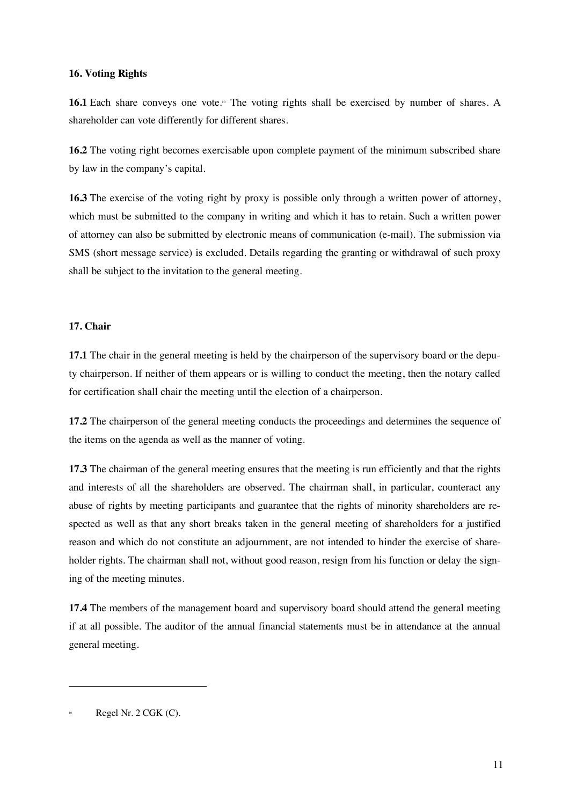### **16. Voting Rights**

**16.1** Each share conveys one vote.<sup>®</sup> The voting rights shall be exercised by number of shares. A shareholder can vote differently for different shares.

**16.2** The voting right becomes exercisable upon complete payment of the minimum subscribed share by law in the company's capital.

**16.3** The exercise of the voting right by proxy is possible only through a written power of attorney, which must be submitted to the company in writing and which it has to retain. Such a written power of attorney can also be submitted by electronic means of communication (e-mail). The submission via SMS (short message service) is excluded. Details regarding the granting or withdrawal of such proxy shall be subject to the invitation to the general meeting.

### **17. Chair**

**17.1** The chair in the general meeting is held by the chairperson of the supervisory board or the deputy chairperson. If neither of them appears or is willing to conduct the meeting, then the notary called for certification shall chair the meeting until the election of a chairperson.

**17.2** The chairperson of the general meeting conducts the proceedings and determines the sequence of the items on the agenda as well as the manner of voting.

**17.3** The chairman of the general meeting ensures that the meeting is run efficiently and that the rights and interests of all the shareholders are observed. The chairman shall, in particular, counteract any abuse of rights by meeting participants and guarantee that the rights of minority shareholders are respected as well as that any short breaks taken in the general meeting of shareholders for a justified reason and which do not constitute an adjournment, are not intended to hinder the exercise of shareholder rights. The chairman shall not, without good reason, resign from his function or delay the signing of the meeting minutes.

**17.4** The members of the management board and supervisory board should attend the general meeting if at all possible. The auditor of the annual financial statements must be in attendance at the annual general meeting.

Regel Nr.  $2 \text{ CGK (C)}$ .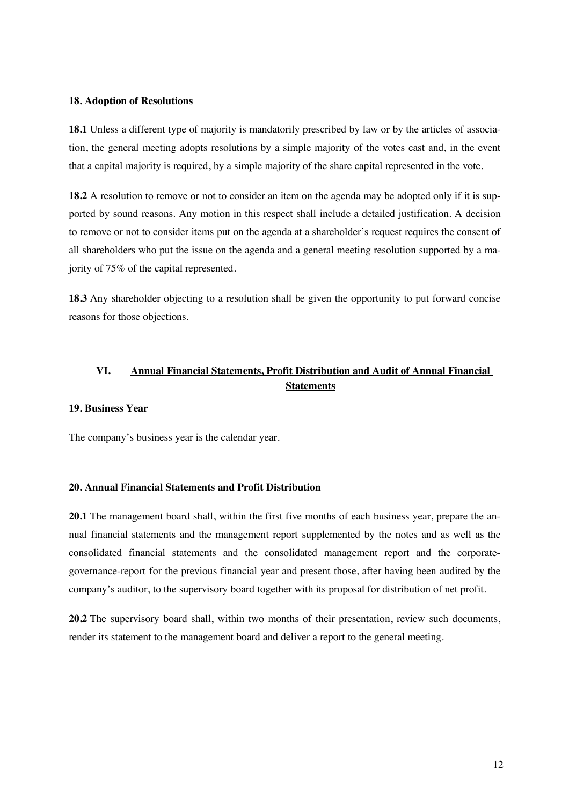#### **18. Adoption of Resolutions**

**18.1** Unless a different type of majority is mandatorily prescribed by law or by the articles of association, the general meeting adopts resolutions by a simple majority of the votes cast and, in the event that a capital majority is required, by a simple majority of the share capital represented in the vote.

**18.2** A resolution to remove or not to consider an item on the agenda may be adopted only if it is supported by sound reasons. Any motion in this respect shall include a detailed justification. A decision to remove or not to consider items put on the agenda at a shareholder's request requires the consent of all shareholders who put the issue on the agenda and a general meeting resolution supported by a majority of 75% of the capital represented.

**18.3** Any shareholder objecting to a resolution shall be given the opportunity to put forward concise reasons for those objections.

# **VI. Annual Financial Statements, Profit Distribution and Audit of Annual Financial Statements**

#### **19. Business Year**

The company's business year is the calendar year.

### **20. Annual Financial Statements and Profit Distribution**

**20.1** The management board shall, within the first five months of each business year, prepare the annual financial statements and the management report supplemented by the notes and as well as the consolidated financial statements and the consolidated management report and the corporategovernance-report for the previous financial year and present those, after having been audited by the company's auditor, to the supervisory board together with its proposal for distribution of net profit.

**20.2** The supervisory board shall, within two months of their presentation, review such documents, render its statement to the management board and deliver a report to the general meeting.